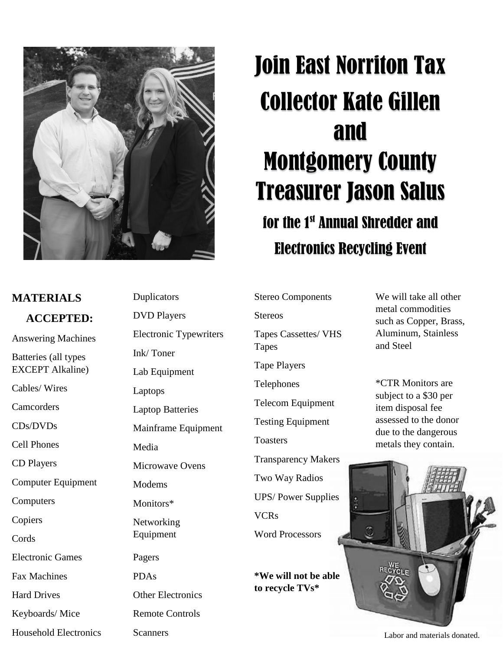

## **MATERIALS ACCEPTED:**

Answering Machines

Batteries (all types EXCEPT Alkaline)

Cables/ Wires

**Camcorders** 

CDs/DVDs

Cell Phones

CD Players

Computer Equipment

Computers

Copiers

Cords

Electronic Games

Fax Machines

Hard Drives

Keyboards/ Mice

Household Electronics

Duplicators DVD Players Electronic Typewriters Ink/ Toner Lab Equipment Laptops Laptop Batteries Mainframe Equipment Media Microwave Ovens Modems Monitors\* Networking Equipment Pagers PDAs Other Electronics Remote Controls

**Scanners** 

## Join East Norriton Tax Collector Kate Gillen and Montgomery County Treasurer Jason Salus for the 1st Annual Shredder and Electronics Recycling Event

Stereo Components

Stereos

Tapes Cassettes/ VHS Tapes

Tape Players

Telephones

Telecom Equipment

Testing Equipment

**Toasters** 

Transparency Makers Two Way Radios UPS/ Power Supplies VCRs

Word Processors

**\*We will not be able to recycle TVs\***

We will take all other metal commodities such as Copper, Brass, Aluminum, Stainless and Steel

\*CTR Monitors are subject to a \$30 per item disposal fee assessed to the donor due to the dangerous metals they contain.

Labor and materials donated.